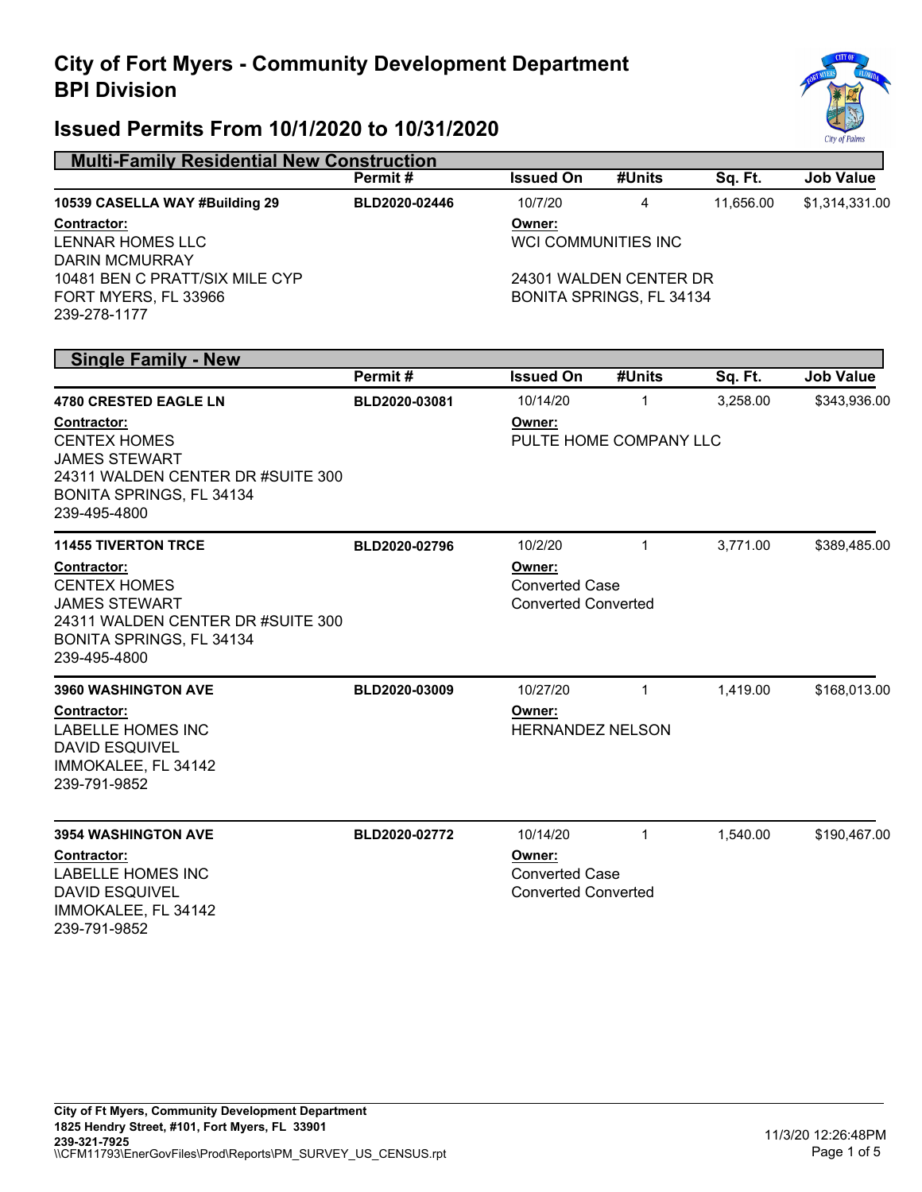

| <b>Multi-Family Residential New Construction</b>                                                                                                   |               |                                                               |              |           |                  |  |
|----------------------------------------------------------------------------------------------------------------------------------------------------|---------------|---------------------------------------------------------------|--------------|-----------|------------------|--|
|                                                                                                                                                    | Permit#       | <b>Issued On</b>                                              | #Units       | Sq. Ft.   | <b>Job Value</b> |  |
| 10539 CASELLA WAY #Building 29                                                                                                                     | BLD2020-02446 | 10/7/20                                                       | 4            | 11,656.00 | \$1,314,331.00   |  |
| <u>Contractor:</u><br><b>LENNAR HOMES LLC</b><br><b>DARIN MCMURRAY</b>                                                                             |               | Owner:<br>WCI COMMUNITIES INC                                 |              |           |                  |  |
| 10481 BEN C PRATT/SIX MILE CYP<br>FORT MYERS, FL 33966<br>239-278-1177                                                                             |               | 24301 WALDEN CENTER DR<br>BONITA SPRINGS, FL 34134            |              |           |                  |  |
| <b>Single Family - New</b>                                                                                                                         |               |                                                               |              |           |                  |  |
|                                                                                                                                                    | Permit#       | <b>Issued On</b>                                              | #Units       | Sq. Ft.   | <b>Job Value</b> |  |
| <b>4780 CRESTED EAGLE LN</b>                                                                                                                       | BLD2020-03081 | 10/14/20                                                      | $\mathbf{1}$ | 3,258.00  | \$343,936.00     |  |
| <b>Contractor:</b><br><b>CENTEX HOMES</b><br><b>JAMES STEWART</b>                                                                                  |               | Owner:<br>PULTE HOME COMPANY LLC                              |              |           |                  |  |
| 24311 WALDEN CENTER DR #SUITE 300<br>BONITA SPRINGS, FL 34134<br>239-495-4800                                                                      |               |                                                               |              |           |                  |  |
| <b>11455 TIVERTON TRCE</b>                                                                                                                         | BLD2020-02796 | 10/2/20                                                       | $\mathbf{1}$ | 3,771.00  | \$389,485.00     |  |
| <u>Contractor:</u><br><b>CENTEX HOMES</b><br><b>JAMES STEWART</b><br>24311 WALDEN CENTER DR #SUITE 300<br>BONITA SPRINGS, FL 34134<br>239-495-4800 |               | Owner:<br><b>Converted Case</b><br><b>Converted Converted</b> |              |           |                  |  |
| <b>3960 WASHINGTON AVE</b>                                                                                                                         | BLD2020-03009 | 10/27/20                                                      | $\mathbf{1}$ | 1,419.00  | \$168,013.00     |  |
| <u>Contractor:</u><br><b>LABELLE HOMES INC</b><br><b>DAVID ESQUIVEL</b><br>IMMOKALEE, FL 34142<br>239-791-9852                                     |               | Owner:<br><b>HERNANDEZ NELSON</b>                             |              |           |                  |  |
| <b>3954 WASHINGTON AVE</b>                                                                                                                         | BLD2020-02772 | 10/14/20                                                      | 1            | 1,540.00  | \$190,467.00     |  |
| <u>Contractor:</u><br><b>LABELLE HOMES INC</b><br>DAVID ESQUIVEL<br>IMMOKALEE, FL 34142<br>239-791-9852                                            |               | Owner:<br><b>Converted Case</b><br><b>Converted Converted</b> |              |           |                  |  |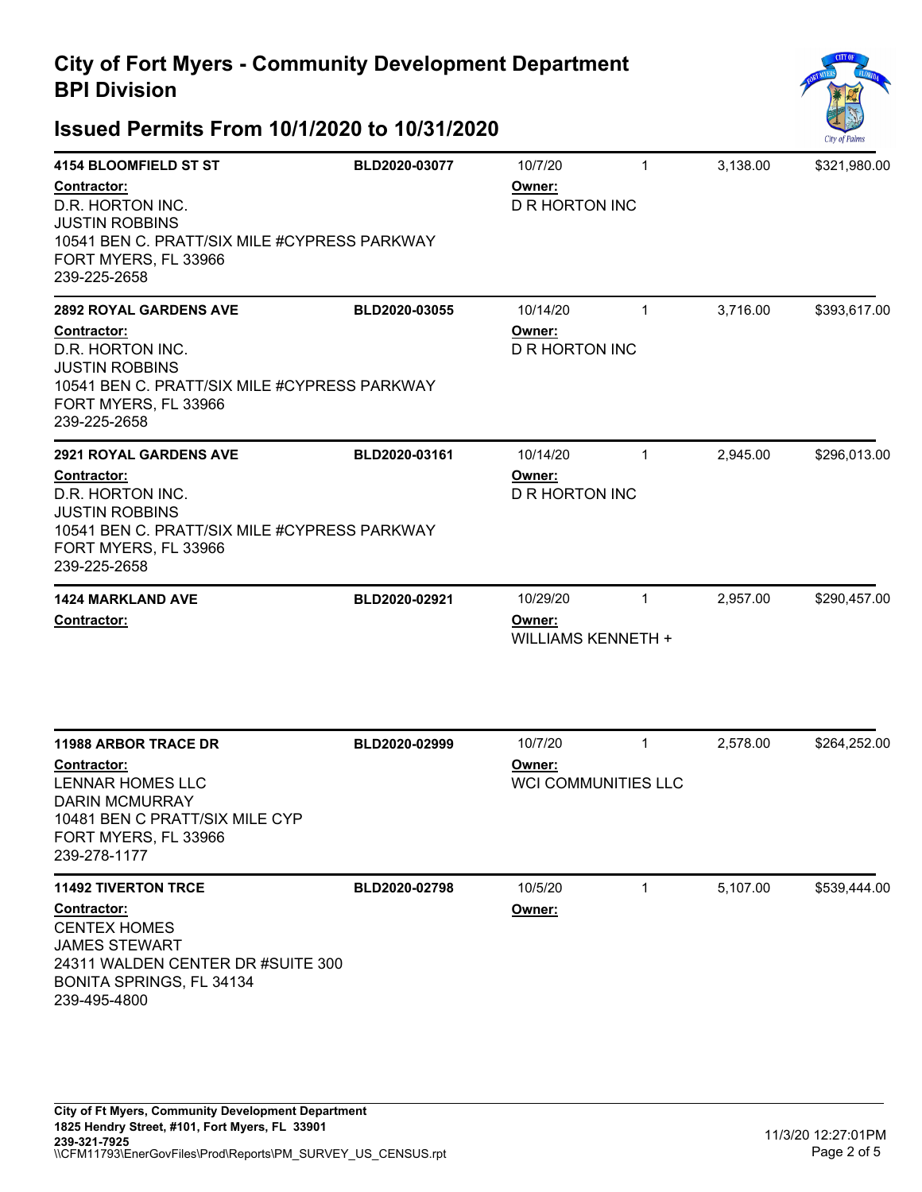

| <b>4154 BLOOMFIELD ST ST</b><br>Contractor:<br>D.R. HORTON INC.<br><b>JUSTIN ROBBINS</b><br>10541 BEN C. PRATT/SIX MILE #CYPRESS PARKWAY<br>FORT MYERS, FL 33966<br>239-225-2658         | BLD2020-03077                               | 10/7/20<br>Owner:<br><b>D R HORTON INC</b>      | $\mathbf{1}$ | 3,138.00 | \$321,980.00 |
|------------------------------------------------------------------------------------------------------------------------------------------------------------------------------------------|---------------------------------------------|-------------------------------------------------|--------------|----------|--------------|
| <b>2892 ROYAL GARDENS AVE</b><br><b>Contractor:</b><br>D.R. HORTON INC.<br><b>JUSTIN ROBBINS</b><br>10541 BEN C. PRATT/SIX MILE #CYPRESS PARKWAY<br>FORT MYERS, FL 33966<br>239-225-2658 | BLD2020-03055                               | 10/14/20<br>Owner:<br><b>D R HORTON INC</b>     | $\mathbf{1}$ | 3,716.00 | \$393,617.00 |
| <b>2921 ROYAL GARDENS AVE</b><br>Contractor:<br>D.R. HORTON INC.<br><b>JUSTIN ROBBINS</b><br>10541 BEN C. PRATT/SIX MILE #CYPRESS PARKWAY<br>FORT MYERS, FL 33966<br>239-225-2658        | 10/14/20<br>Owner:<br><b>D R HORTON INC</b> | \$296,013.00                                    |              |          |              |
| <b>1424 MARKLAND AVE</b><br>Contractor:                                                                                                                                                  | BLD2020-02921                               | 10/29/20<br>Owner:<br><b>WILLIAMS KENNETH +</b> | $\mathbf{1}$ | 2,957.00 | \$290,457.00 |
| <b>11988 ARBOR TRACE DR</b><br>Contractor:<br>LENNAR HOMES LLC<br><b>DARIN MCMURRAY</b><br>10481 BEN C PRATT/SIX MILE CYP<br>FORT MYERS, FL 33966<br>239-278-1177                        | BLD2020-02999                               | 10/7/20<br>Owner:<br><b>WCI COMMUNITIES LLC</b> | $\mathbf{1}$ | 2,578.00 | \$264,252.00 |
| <b>11492 TIVERTON TRCE</b><br><b>Contractor:</b><br><b>CENTEX HOMES</b><br><b>JAMES STEWART</b><br>24311 WALDEN CENTER DR #SUITE 300<br>BONITA SPRINGS, FL 34134<br>239-495-4800         | BLD2020-02798                               | 10/5/20<br>Owner:                               | $\mathbf{1}$ | 5,107.00 | \$539,444.00 |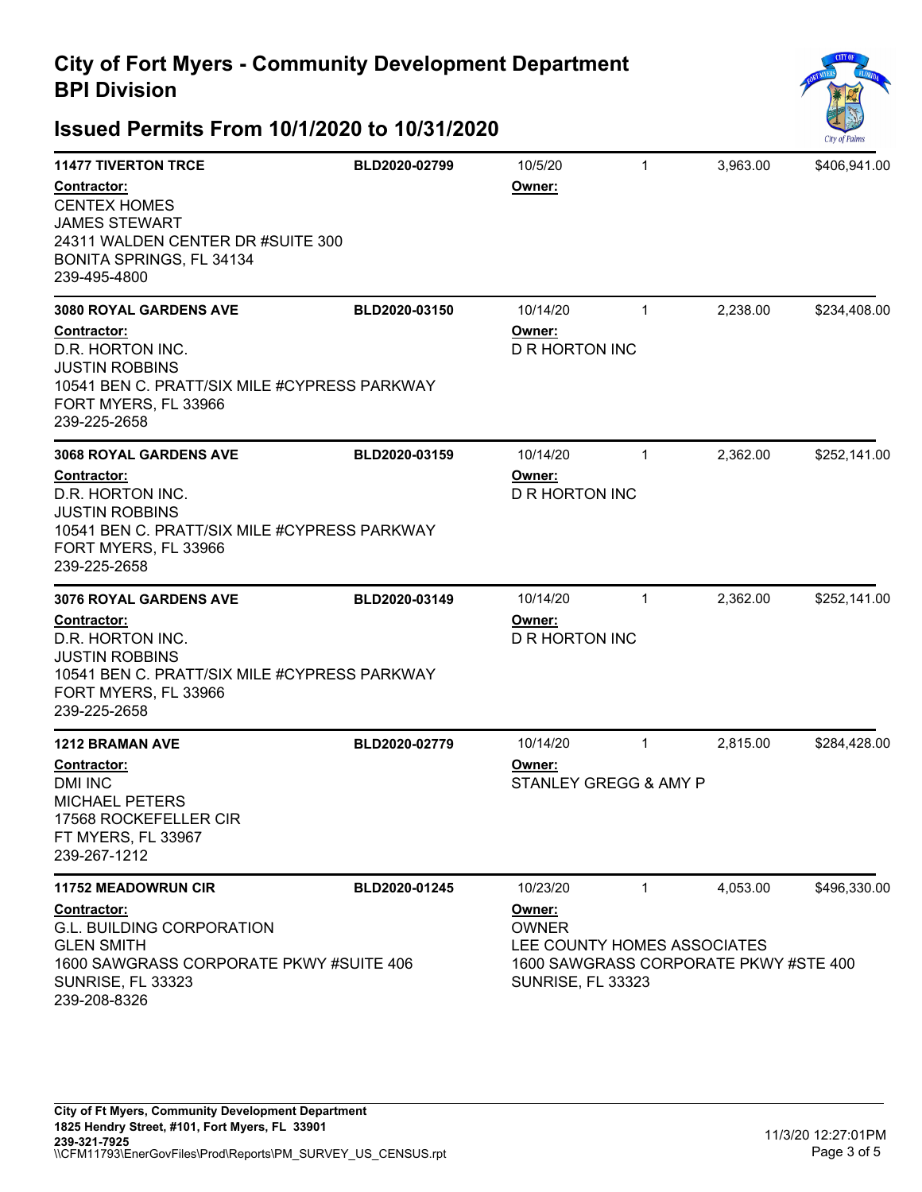

| <b>11477 TIVERTON TRCE</b>                                                                                                                                                        | BLD2020-02799 | 10/5/20                                     | $\mathbf{1}$ | 3,963.00 | \$406,941.00 |
|-----------------------------------------------------------------------------------------------------------------------------------------------------------------------------------|---------------|---------------------------------------------|--------------|----------|--------------|
| Contractor:<br><b>CENTEX HOMES</b><br><b>JAMES STEWART</b><br>24311 WALDEN CENTER DR #SUITE 300<br>BONITA SPRINGS, FL 34134<br>239-495-4800                                       |               | Owner:                                      |              |          |              |
| <b>3080 ROYAL GARDENS AVE</b><br>Contractor:<br>D.R. HORTON INC.<br><b>JUSTIN ROBBINS</b><br>10541 BEN C. PRATT/SIX MILE #CYPRESS PARKWAY<br>FORT MYERS, FL 33966<br>239-225-2658 | BLD2020-03150 | 10/14/20<br>Owner:<br><b>D R HORTON INC</b> | $\mathbf{1}$ | 2,238.00 | \$234,408.00 |
| <b>3068 ROYAL GARDENS AVE</b><br>Contractor:<br>D.R. HORTON INC.<br><b>JUSTIN ROBBINS</b><br>10541 BEN C. PRATT/SIX MILE #CYPRESS PARKWAY<br>FORT MYERS, FL 33966<br>239-225-2658 | BLD2020-03159 | 10/14/20<br>Owner:<br><b>D R HORTON INC</b> | $\mathbf{1}$ | 2,362.00 | \$252,141.00 |
| <b>3076 ROYAL GARDENS AVE</b><br>Contractor:<br>D.R. HORTON INC.<br><b>JUSTIN ROBBINS</b>                                                                                         | BLD2020-03149 | 10/14/20<br>Owner:<br><b>D R HORTON INC</b> | $\mathbf{1}$ | 2,362.00 | \$252,141.00 |
| 10541 BEN C. PRATT/SIX MILE #CYPRESS PARKWAY<br>FORT MYERS, FL 33966<br>239-225-2658                                                                                              |               |                                             |              |          |              |
| <b>1212 BRAMAN AVE</b><br>Contractor:<br><b>DMI INC</b><br><b>MICHAEL PETERS</b><br>17568 ROCKEFELLER CIR<br>FT MYERS, FL 33967<br>239-267-1212                                   | BLD2020-02779 | 10/14/20<br>Owner:<br>STANLEY GREGG & AMY P | $\mathbf{1}$ | 2,815.00 | \$284,428.00 |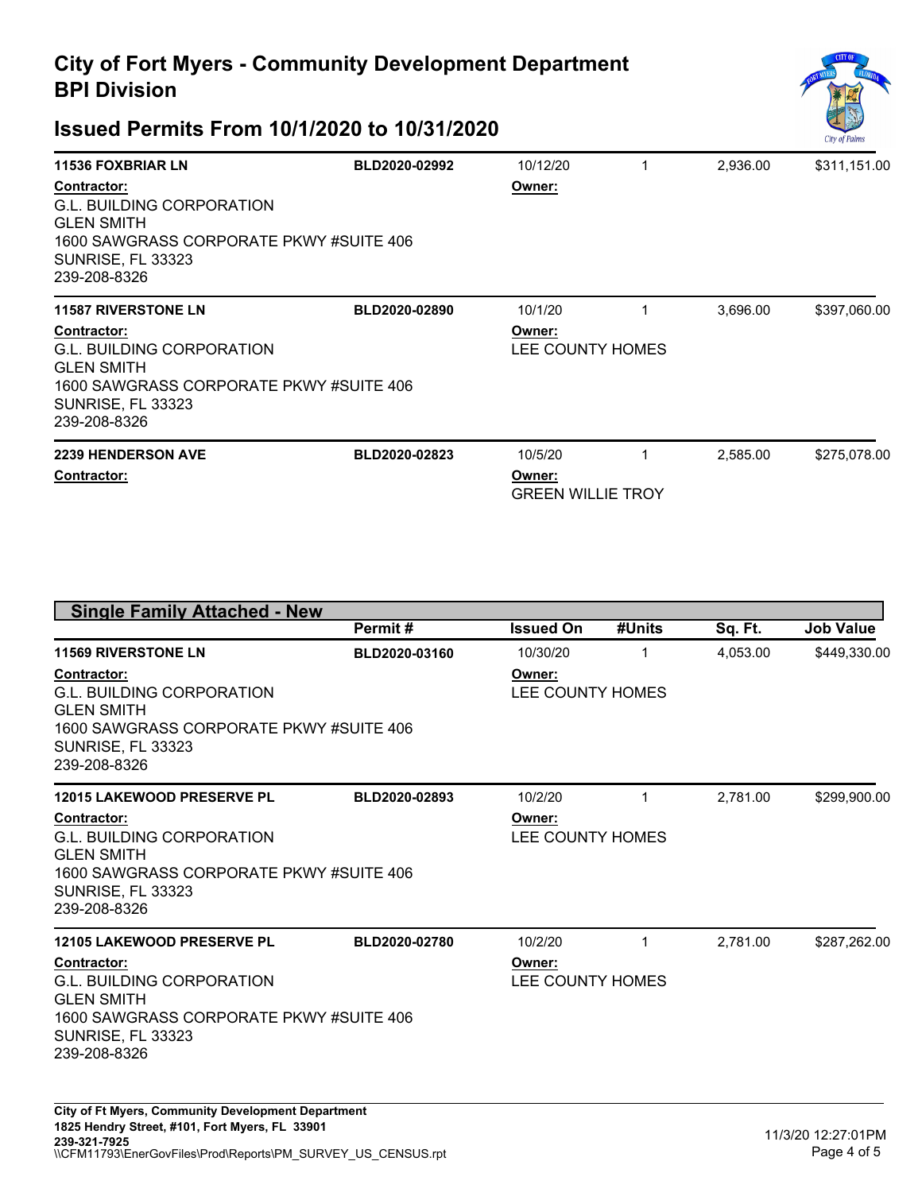

| <b>11536 FOXBRIAR LN</b>                                                                                                                                    | BLD2020-02992 | 10/12/20                                      | 2,936.00 | \$311,151.00 |
|-------------------------------------------------------------------------------------------------------------------------------------------------------------|---------------|-----------------------------------------------|----------|--------------|
| Contractor:<br><b>G.L. BUILDING CORPORATION</b><br><b>GLEN SMITH</b><br>1600 SAWGRASS CORPORATE PKWY #SUITE 406<br><b>SUNRISE, FL 33323</b><br>239-208-8326 |               | Owner:                                        |          |              |
| <b>11587 RIVERSTONE LN</b>                                                                                                                                  | BLD2020-02890 | 10/1/20                                       | 3,696.00 | \$397,060.00 |
| Contractor:<br>G.L. BUILDING CORPORATION<br><b>GLEN SMITH</b><br>1600 SAWGRASS CORPORATE PKWY #SUITE 406<br><b>SUNRISE, FL 33323</b><br>239-208-8326        |               | Owner:<br>LEE COUNTY HOMES                    |          |              |
| <b>2239 HENDERSON AVE</b><br><b>Contractor:</b>                                                                                                             | BLD2020-02823 | 10/5/20<br>Owner:<br><b>GREEN WILLIE TROY</b> | 2,585.00 | \$275,078.00 |

|                                                                                                                                                                    | Permit#       | <b>Issued On</b>           | #Units | Sq. Ft.  | <b>Job Value</b> |
|--------------------------------------------------------------------------------------------------------------------------------------------------------------------|---------------|----------------------------|--------|----------|------------------|
| <b>11569 RIVERSTONE LN</b>                                                                                                                                         | BLD2020-03160 | 10/30/20                   | 1      | 4.053.00 | \$449,330.00     |
| <b>Contractor:</b><br><b>G.L. BUILDING CORPORATION</b><br><b>GLEN SMITH</b><br>1600 SAWGRASS CORPORATE PKWY #SUITE 406<br><b>SUNRISE, FL 33323</b><br>239-208-8326 |               | Owner:<br>LEE COUNTY HOMES |        |          |                  |
| <b>12015 LAKEWOOD PRESERVE PL</b>                                                                                                                                  | BLD2020-02893 | 10/2/20                    | 1      | 2,781.00 | \$299,900.00     |
| Contractor:<br><b>G.L. BUILDING CORPORATION</b><br><b>GLEN SMITH</b><br>1600 SAWGRASS CORPORATE PKWY #SUITE 406<br><b>SUNRISE, FL 33323</b><br>239-208-8326        |               | Owner:<br>LEE COUNTY HOMES |        |          |                  |
| <b>12105 LAKEWOOD PRESERVE PL</b>                                                                                                                                  | BLD2020-02780 | 10/2/20                    | 1      | 2.781.00 | \$287,262.00     |
| <b>Contractor:</b><br><b>G.L. BUILDING CORPORATION</b><br><b>GLEN SMITH</b><br>1600 SAWGRASS CORPORATE PKWY #SUITE 406<br><b>SUNRISE, FL 33323</b><br>239-208-8326 |               | Owner:<br>LEE COUNTY HOMES |        |          |                  |